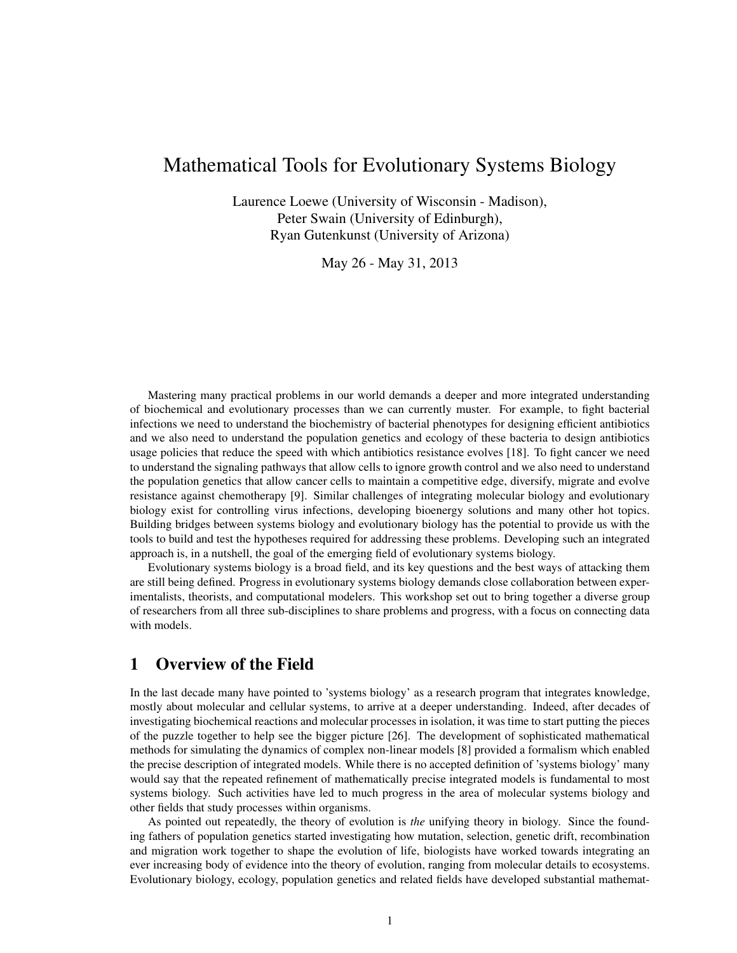# Mathematical Tools for Evolutionary Systems Biology

Laurence Loewe (University of Wisconsin - Madison), Peter Swain (University of Edinburgh), Ryan Gutenkunst (University of Arizona)

May 26 - May 31, 2013

Mastering many practical problems in our world demands a deeper and more integrated understanding of biochemical and evolutionary processes than we can currently muster. For example, to fight bacterial infections we need to understand the biochemistry of bacterial phenotypes for designing efficient antibiotics and we also need to understand the population genetics and ecology of these bacteria to design antibiotics usage policies that reduce the speed with which antibiotics resistance evolves [18]. To fight cancer we need to understand the signaling pathways that allow cells to ignore growth control and we also need to understand the population genetics that allow cancer cells to maintain a competitive edge, diversify, migrate and evolve resistance against chemotherapy [9]. Similar challenges of integrating molecular biology and evolutionary biology exist for controlling virus infections, developing bioenergy solutions and many other hot topics. Building bridges between systems biology and evolutionary biology has the potential to provide us with the tools to build and test the hypotheses required for addressing these problems. Developing such an integrated approach is, in a nutshell, the goal of the emerging field of evolutionary systems biology.

Evolutionary systems biology is a broad field, and its key questions and the best ways of attacking them are still being defined. Progress in evolutionary systems biology demands close collaboration between experimentalists, theorists, and computational modelers. This workshop set out to bring together a diverse group of researchers from all three sub-disciplines to share problems and progress, with a focus on connecting data with models.

### 1 Overview of the Field

In the last decade many have pointed to 'systems biology' as a research program that integrates knowledge, mostly about molecular and cellular systems, to arrive at a deeper understanding. Indeed, after decades of investigating biochemical reactions and molecular processes in isolation, it was time to start putting the pieces of the puzzle together to help see the bigger picture [26]. The development of sophisticated mathematical methods for simulating the dynamics of complex non-linear models [8] provided a formalism which enabled the precise description of integrated models. While there is no accepted definition of 'systems biology' many would say that the repeated refinement of mathematically precise integrated models is fundamental to most systems biology. Such activities have led to much progress in the area of molecular systems biology and other fields that study processes within organisms.

As pointed out repeatedly, the theory of evolution is *the* unifying theory in biology. Since the founding fathers of population genetics started investigating how mutation, selection, genetic drift, recombination and migration work together to shape the evolution of life, biologists have worked towards integrating an ever increasing body of evidence into the theory of evolution, ranging from molecular details to ecosystems. Evolutionary biology, ecology, population genetics and related fields have developed substantial mathemat-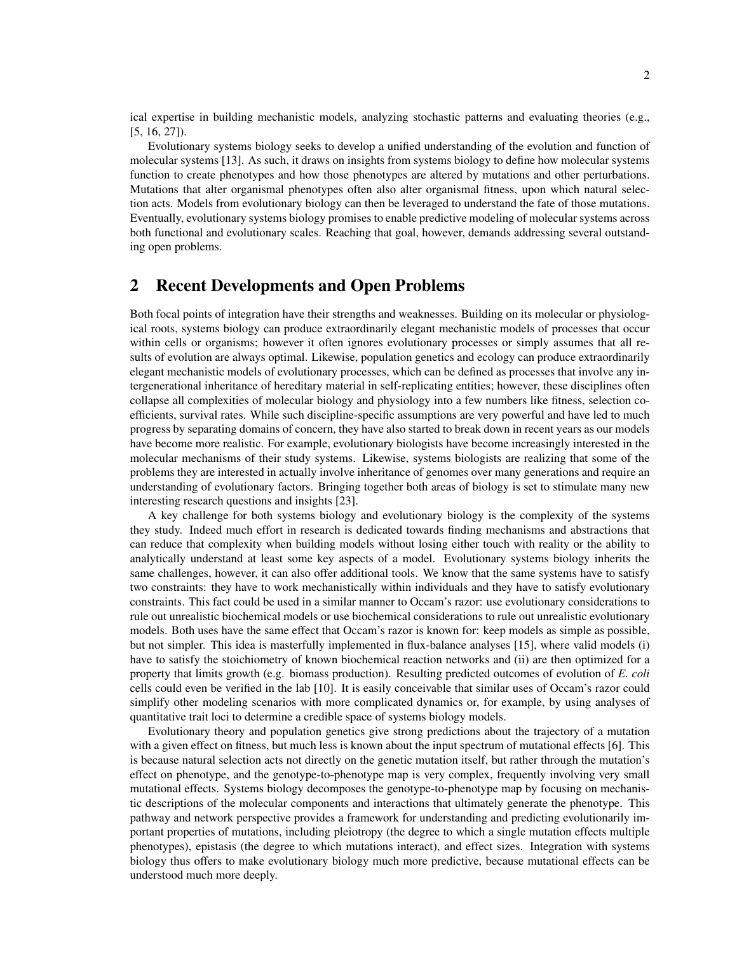ical expertise in building mechanistic models, analyzing stochastic patterns and evaluating theories (e.g., [5, 16, 27]).

Evolutionary systems biology seeks to develop a unified understanding of the evolution and function of molecular systems [13]. As such, it draws on insights from systems biology to define how molecular systems function to create phenotypes and how those phenotypes are altered by mutations and other perturbations. Mutations that alter organismal phenotypes often also alter organismal fitness, upon which natural selection acts. Models from evolutionary biology can then be leveraged to understand the fate of those mutations. Eventually, evolutionary systems biology promises to enable predictive modeling of molecular systems across both functional and evolutionary scales. Reaching that goal, however, demands addressing several outstanding open problems.

#### 2 Recent Developments and Open Problems

Both focal points of integration have their strengths and weaknesses. Building on its molecular or physiological roots, systems biology can produce extraordinarily elegant mechanistic models of processes that occur within cells or organisms; however it often ignores evolutionary processes or simply assumes that all results of evolution are always optimal. Likewise, population genetics and ecology can produce extraordinarily elegant mechanistic models of evolutionary processes, which can be defined as processes that involve any intergenerational inheritance of hereditary material in self-replicating entities; however, these disciplines often collapse all complexities of molecular biology and physiology into a few numbers like fitness, selection coefficients, survival rates. While such discipline-specific assumptions are very powerful and have led to much progress by separating domains of concern, they have also started to break down in recent years as our models have become more realistic. For example, evolutionary biologists have become increasingly interested in the molecular mechanisms of their study systems. Likewise, systems biologists are realizing that some of the problems they are interested in actually involve inheritance of genomes over many generations and require an understanding of evolutionary factors. Bringing together both areas of biology is set to stimulate many new interesting research questions and insights [23].

A key challenge for both systems biology and evolutionary biology is the complexity of the systems they study. Indeed much effort in research is dedicated towards finding mechanisms and abstractions that can reduce that complexity when building models without losing either touch with reality or the ability to analytically understand at least some key aspects of a model. Evolutionary systems biology inherits the same challenges, however, it can also offer additional tools. We know that the same systems have to satisfy two constraints: they have to work mechanistically within individuals and they have to satisfy evolutionary constraints. This fact could be used in a similar manner to Occam's razor: use evolutionary considerations to rule out unrealistic biochemical models or use biochemical considerations to rule out unrealistic evolutionary models. Both uses have the same effect that Occam's razor is known for: keep models as simple as possible, but not simpler. This idea is masterfully implemented in flux-balance analyses [15], where valid models (i) have to satisfy the stoichiometry of known biochemical reaction networks and (ii) are then optimized for a property that limits growth (e.g. biomass production). Resulting predicted outcomes of evolution of *E. coli* cells could even be verified in the lab [10]. It is easily conceivable that similar uses of Occam's razor could simplify other modeling scenarios with more complicated dynamics or, for example, by using analyses of quantitative trait loci to determine a credible space of systems biology models.

Evolutionary theory and population genetics give strong predictions about the trajectory of a mutation with a given effect on fitness, but much less is known about the input spectrum of mutational effects [6]. This is because natural selection acts not directly on the genetic mutation itself, but rather through the mutation's effect on phenotype, and the genotype-to-phenotype map is very complex, frequently involving very small mutational effects. Systems biology decomposes the genotype-to-phenotype map by focusing on mechanistic descriptions of the molecular components and interactions that ultimately generate the phenotype. This pathway and network perspective provides a framework for understanding and predicting evolutionarily important properties of mutations, including pleiotropy (the degree to which a single mutation effects multiple phenotypes), epistasis (the degree to which mutations interact), and effect sizes. Integration with systems biology thus offers to make evolutionary biology much more predictive, because mutational effects can be understood much more deeply.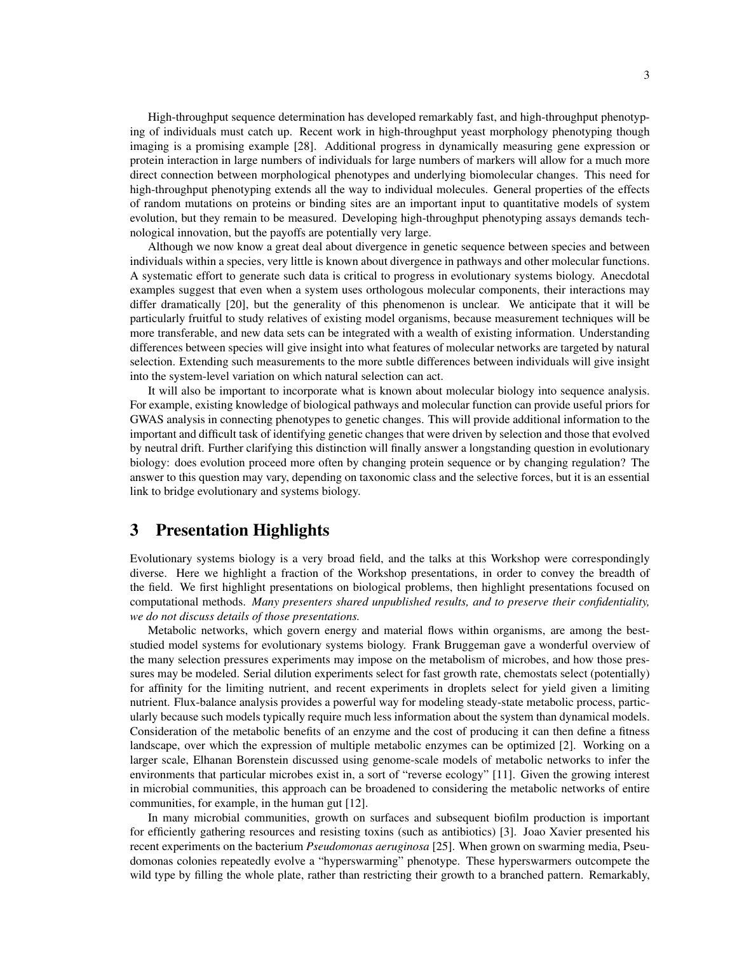High-throughput sequence determination has developed remarkably fast, and high-throughput phenotyping of individuals must catch up. Recent work in high-throughput yeast morphology phenotyping though imaging is a promising example [28]. Additional progress in dynamically measuring gene expression or protein interaction in large numbers of individuals for large numbers of markers will allow for a much more direct connection between morphological phenotypes and underlying biomolecular changes. This need for high-throughput phenotyping extends all the way to individual molecules. General properties of the effects of random mutations on proteins or binding sites are an important input to quantitative models of system evolution, but they remain to be measured. Developing high-throughput phenotyping assays demands technological innovation, but the payoffs are potentially very large.

Although we now know a great deal about divergence in genetic sequence between species and between individuals within a species, very little is known about divergence in pathways and other molecular functions. A systematic effort to generate such data is critical to progress in evolutionary systems biology. Anecdotal examples suggest that even when a system uses orthologous molecular components, their interactions may differ dramatically [20], but the generality of this phenomenon is unclear. We anticipate that it will be particularly fruitful to study relatives of existing model organisms, because measurement techniques will be more transferable, and new data sets can be integrated with a wealth of existing information. Understanding differences between species will give insight into what features of molecular networks are targeted by natural selection. Extending such measurements to the more subtle differences between individuals will give insight into the system-level variation on which natural selection can act.

It will also be important to incorporate what is known about molecular biology into sequence analysis. For example, existing knowledge of biological pathways and molecular function can provide useful priors for GWAS analysis in connecting phenotypes to genetic changes. This will provide additional information to the important and difficult task of identifying genetic changes that were driven by selection and those that evolved by neutral drift. Further clarifying this distinction will finally answer a longstanding question in evolutionary biology: does evolution proceed more often by changing protein sequence or by changing regulation? The answer to this question may vary, depending on taxonomic class and the selective forces, but it is an essential link to bridge evolutionary and systems biology.

### 3 Presentation Highlights

Evolutionary systems biology is a very broad field, and the talks at this Workshop were correspondingly diverse. Here we highlight a fraction of the Workshop presentations, in order to convey the breadth of the field. We first highlight presentations on biological problems, then highlight presentations focused on computational methods. *Many presenters shared unpublished results, and to preserve their confidentiality, we do not discuss details of those presentations.*

Metabolic networks, which govern energy and material flows within organisms, are among the beststudied model systems for evolutionary systems biology. Frank Bruggeman gave a wonderful overview of the many selection pressures experiments may impose on the metabolism of microbes, and how those pressures may be modeled. Serial dilution experiments select for fast growth rate, chemostats select (potentially) for affinity for the limiting nutrient, and recent experiments in droplets select for yield given a limiting nutrient. Flux-balance analysis provides a powerful way for modeling steady-state metabolic process, particularly because such models typically require much less information about the system than dynamical models. Consideration of the metabolic benefits of an enzyme and the cost of producing it can then define a fitness landscape, over which the expression of multiple metabolic enzymes can be optimized [2]. Working on a larger scale, Elhanan Borenstein discussed using genome-scale models of metabolic networks to infer the environments that particular microbes exist in, a sort of "reverse ecology" [11]. Given the growing interest in microbial communities, this approach can be broadened to considering the metabolic networks of entire communities, for example, in the human gut [12].

In many microbial communities, growth on surfaces and subsequent biofilm production is important for efficiently gathering resources and resisting toxins (such as antibiotics) [3]. Joao Xavier presented his recent experiments on the bacterium *Pseudomonas aeruginosa* [25]. When grown on swarming media, Pseudomonas colonies repeatedly evolve a "hyperswarming" phenotype. These hyperswarmers outcompete the wild type by filling the whole plate, rather than restricting their growth to a branched pattern. Remarkably,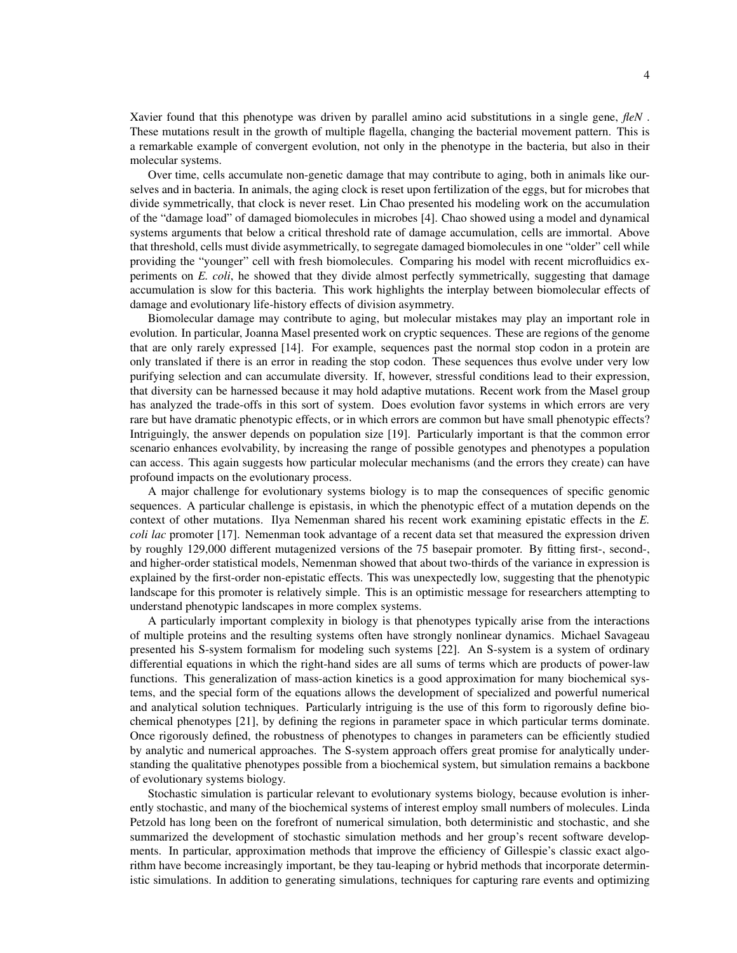Xavier found that this phenotype was driven by parallel amino acid substitutions in a single gene, *fleN* . These mutations result in the growth of multiple flagella, changing the bacterial movement pattern. This is a remarkable example of convergent evolution, not only in the phenotype in the bacteria, but also in their molecular systems.

Over time, cells accumulate non-genetic damage that may contribute to aging, both in animals like ourselves and in bacteria. In animals, the aging clock is reset upon fertilization of the eggs, but for microbes that divide symmetrically, that clock is never reset. Lin Chao presented his modeling work on the accumulation of the "damage load" of damaged biomolecules in microbes [4]. Chao showed using a model and dynamical systems arguments that below a critical threshold rate of damage accumulation, cells are immortal. Above that threshold, cells must divide asymmetrically, to segregate damaged biomolecules in one "older" cell while providing the "younger" cell with fresh biomolecules. Comparing his model with recent microfluidics experiments on *E. coli*, he showed that they divide almost perfectly symmetrically, suggesting that damage accumulation is slow for this bacteria. This work highlights the interplay between biomolecular effects of damage and evolutionary life-history effects of division asymmetry.

Biomolecular damage may contribute to aging, but molecular mistakes may play an important role in evolution. In particular, Joanna Masel presented work on cryptic sequences. These are regions of the genome that are only rarely expressed [14]. For example, sequences past the normal stop codon in a protein are only translated if there is an error in reading the stop codon. These sequences thus evolve under very low purifying selection and can accumulate diversity. If, however, stressful conditions lead to their expression, that diversity can be harnessed because it may hold adaptive mutations. Recent work from the Masel group has analyzed the trade-offs in this sort of system. Does evolution favor systems in which errors are very rare but have dramatic phenotypic effects, or in which errors are common but have small phenotypic effects? Intriguingly, the answer depends on population size [19]. Particularly important is that the common error scenario enhances evolvability, by increasing the range of possible genotypes and phenotypes a population can access. This again suggests how particular molecular mechanisms (and the errors they create) can have profound impacts on the evolutionary process.

A major challenge for evolutionary systems biology is to map the consequences of specific genomic sequences. A particular challenge is epistasis, in which the phenotypic effect of a mutation depends on the context of other mutations. Ilya Nemenman shared his recent work examining epistatic effects in the *E. coli lac* promoter [17]. Nemenman took advantage of a recent data set that measured the expression driven by roughly 129,000 different mutagenized versions of the 75 basepair promoter. By fitting first-, second-, and higher-order statistical models, Nemenman showed that about two-thirds of the variance in expression is explained by the first-order non-epistatic effects. This was unexpectedly low, suggesting that the phenotypic landscape for this promoter is relatively simple. This is an optimistic message for researchers attempting to understand phenotypic landscapes in more complex systems.

A particularly important complexity in biology is that phenotypes typically arise from the interactions of multiple proteins and the resulting systems often have strongly nonlinear dynamics. Michael Savageau presented his S-system formalism for modeling such systems [22]. An S-system is a system of ordinary differential equations in which the right-hand sides are all sums of terms which are products of power-law functions. This generalization of mass-action kinetics is a good approximation for many biochemical systems, and the special form of the equations allows the development of specialized and powerful numerical and analytical solution techniques. Particularly intriguing is the use of this form to rigorously define biochemical phenotypes [21], by defining the regions in parameter space in which particular terms dominate. Once rigorously defined, the robustness of phenotypes to changes in parameters can be efficiently studied by analytic and numerical approaches. The S-system approach offers great promise for analytically understanding the qualitative phenotypes possible from a biochemical system, but simulation remains a backbone of evolutionary systems biology.

Stochastic simulation is particular relevant to evolutionary systems biology, because evolution is inherently stochastic, and many of the biochemical systems of interest employ small numbers of molecules. Linda Petzold has long been on the forefront of numerical simulation, both deterministic and stochastic, and she summarized the development of stochastic simulation methods and her group's recent software developments. In particular, approximation methods that improve the efficiency of Gillespie's classic exact algorithm have become increasingly important, be they tau-leaping or hybrid methods that incorporate deterministic simulations. In addition to generating simulations, techniques for capturing rare events and optimizing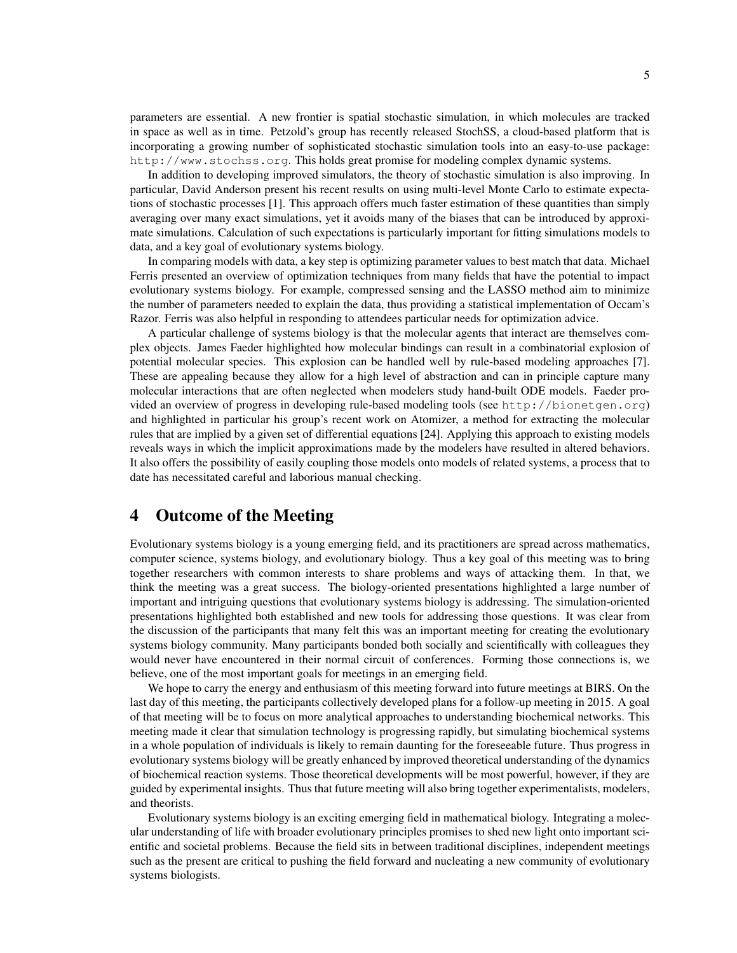parameters are essential. A new frontier is spatial stochastic simulation, in which molecules are tracked in space as well as in time. Petzold's group has recently released StochSS, a cloud-based platform that is incorporating a growing number of sophisticated stochastic simulation tools into an easy-to-use package: http://www.stochss.org. This holds great promise for modeling complex dynamic systems.

In addition to developing improved simulators, the theory of stochastic simulation is also improving. In particular, David Anderson present his recent results on using multi-level Monte Carlo to estimate expectations of stochastic processes [1]. This approach offers much faster estimation of these quantities than simply averaging over many exact simulations, yet it avoids many of the biases that can be introduced by approximate simulations. Calculation of such expectations is particularly important for fitting simulations models to data, and a key goal of evolutionary systems biology.

In comparing models with data, a key step is optimizing parameter values to best match that data. Michael Ferris presented an overview of optimization techniques from many fields that have the potential to impact evolutionary systems biology. For example, compressed sensing and the LASSO method aim to minimize the number of parameters needed to explain the data, thus providing a statistical implementation of Occam's Razor. Ferris was also helpful in responding to attendees particular needs for optimization advice.

A particular challenge of systems biology is that the molecular agents that interact are themselves complex objects. James Faeder highlighted how molecular bindings can result in a combinatorial explosion of potential molecular species. This explosion can be handled well by rule-based modeling approaches [7]. These are appealing because they allow for a high level of abstraction and can in principle capture many molecular interactions that are often neglected when modelers study hand-built ODE models. Faeder provided an overview of progress in developing rule-based modeling tools (see http://bionetgen.org) and highlighted in particular his group's recent work on Atomizer, a method for extracting the molecular rules that are implied by a given set of differential equations [24]. Applying this approach to existing models reveals ways in which the implicit approximations made by the modelers have resulted in altered behaviors. It also offers the possibility of easily coupling those models onto models of related systems, a process that to date has necessitated careful and laborious manual checking.

### 4 Outcome of the Meeting

Evolutionary systems biology is a young emerging field, and its practitioners are spread across mathematics, computer science, systems biology, and evolutionary biology. Thus a key goal of this meeting was to bring together researchers with common interests to share problems and ways of attacking them. In that, we think the meeting was a great success. The biology-oriented presentations highlighted a large number of important and intriguing questions that evolutionary systems biology is addressing. The simulation-oriented presentations highlighted both established and new tools for addressing those questions. It was clear from the discussion of the participants that many felt this was an important meeting for creating the evolutionary systems biology community. Many participants bonded both socially and scientifically with colleagues they would never have encountered in their normal circuit of conferences. Forming those connections is, we believe, one of the most important goals for meetings in an emerging field.

We hope to carry the energy and enthusiasm of this meeting forward into future meetings at BIRS. On the last day of this meeting, the participants collectively developed plans for a follow-up meeting in 2015. A goal of that meeting will be to focus on more analytical approaches to understanding biochemical networks. This meeting made it clear that simulation technology is progressing rapidly, but simulating biochemical systems in a whole population of individuals is likely to remain daunting for the foreseeable future. Thus progress in evolutionary systems biology will be greatly enhanced by improved theoretical understanding of the dynamics of biochemical reaction systems. Those theoretical developments will be most powerful, however, if they are guided by experimental insights. Thus that future meeting will also bring together experimentalists, modelers, and theorists.

Evolutionary systems biology is an exciting emerging field in mathematical biology. Integrating a molecular understanding of life with broader evolutionary principles promises to shed new light onto important scientific and societal problems. Because the field sits in between traditional disciplines, independent meetings such as the present are critical to pushing the field forward and nucleating a new community of evolutionary systems biologists.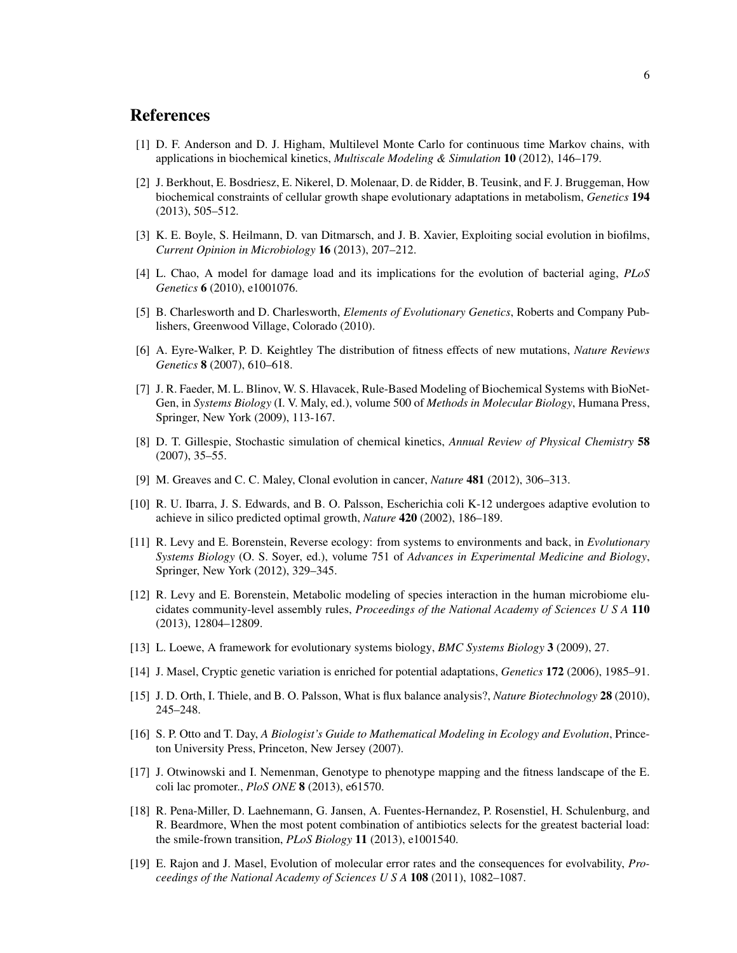## **References**

- [1] D. F. Anderson and D. J. Higham, Multilevel Monte Carlo for continuous time Markov chains, with applications in biochemical kinetics, *Multiscale Modeling & Simulation* 10 (2012), 146–179.
- [2] J. Berkhout, E. Bosdriesz, E. Nikerel, D. Molenaar, D. de Ridder, B. Teusink, and F. J. Bruggeman, How biochemical constraints of cellular growth shape evolutionary adaptations in metabolism, *Genetics* 194 (2013), 505–512.
- [3] K. E. Boyle, S. Heilmann, D. van Ditmarsch, and J. B. Xavier, Exploiting social evolution in biofilms, *Current Opinion in Microbiology* 16 (2013), 207–212.
- [4] L. Chao, A model for damage load and its implications for the evolution of bacterial aging, *PLoS Genetics* 6 (2010), e1001076.
- [5] B. Charlesworth and D. Charlesworth, *Elements of Evolutionary Genetics*, Roberts and Company Publishers, Greenwood Village, Colorado (2010).
- [6] A. Eyre-Walker, P. D. Keightley The distribution of fitness effects of new mutations, *Nature Reviews Genetics* 8 (2007), 610–618.
- [7] J. R. Faeder, M. L. Blinov, W. S. Hlavacek, Rule-Based Modeling of Biochemical Systems with BioNet-Gen, in *Systems Biology* (I. V. Maly, ed.), volume 500 of *Methods in Molecular Biology*, Humana Press, Springer, New York (2009), 113-167.
- [8] D. T. Gillespie, Stochastic simulation of chemical kinetics, *Annual Review of Physical Chemistry* 58 (2007), 35–55.
- [9] M. Greaves and C. C. Maley, Clonal evolution in cancer, *Nature* 481 (2012), 306–313.
- [10] R. U. Ibarra, J. S. Edwards, and B. O. Palsson, Escherichia coli K-12 undergoes adaptive evolution to achieve in silico predicted optimal growth, *Nature* 420 (2002), 186–189.
- [11] R. Levy and E. Borenstein, Reverse ecology: from systems to environments and back, in *Evolutionary Systems Biology* (O. S. Soyer, ed.), volume 751 of *Advances in Experimental Medicine and Biology*, Springer, New York (2012), 329–345.
- [12] R. Levy and E. Borenstein, Metabolic modeling of species interaction in the human microbiome elucidates community-level assembly rules, *Proceedings of the National Academy of Sciences U S A* 110 (2013), 12804–12809.
- [13] L. Loewe, A framework for evolutionary systems biology, *BMC Systems Biology* 3 (2009), 27.
- [14] J. Masel, Cryptic genetic variation is enriched for potential adaptations, *Genetics* 172 (2006), 1985–91.
- [15] J. D. Orth, I. Thiele, and B. O. Palsson, What is flux balance analysis?, *Nature Biotechnology* 28 (2010), 245–248.
- [16] S. P. Otto and T. Day, *A Biologist's Guide to Mathematical Modeling in Ecology and Evolution*, Princeton University Press, Princeton, New Jersey (2007).
- [17] J. Otwinowski and I. Nemenman, Genotype to phenotype mapping and the fitness landscape of the E. coli lac promoter., *PloS ONE* 8 (2013), e61570.
- [18] R. Pena-Miller, D. Laehnemann, G. Jansen, A. Fuentes-Hernandez, P. Rosenstiel, H. Schulenburg, and R. Beardmore, When the most potent combination of antibiotics selects for the greatest bacterial load: the smile-frown transition, *PLoS Biology* 11 (2013), e1001540.
- [19] E. Rajon and J. Masel, Evolution of molecular error rates and the consequences for evolvability, *Proceedings of the National Academy of Sciences U S A* 108 (2011), 1082–1087.